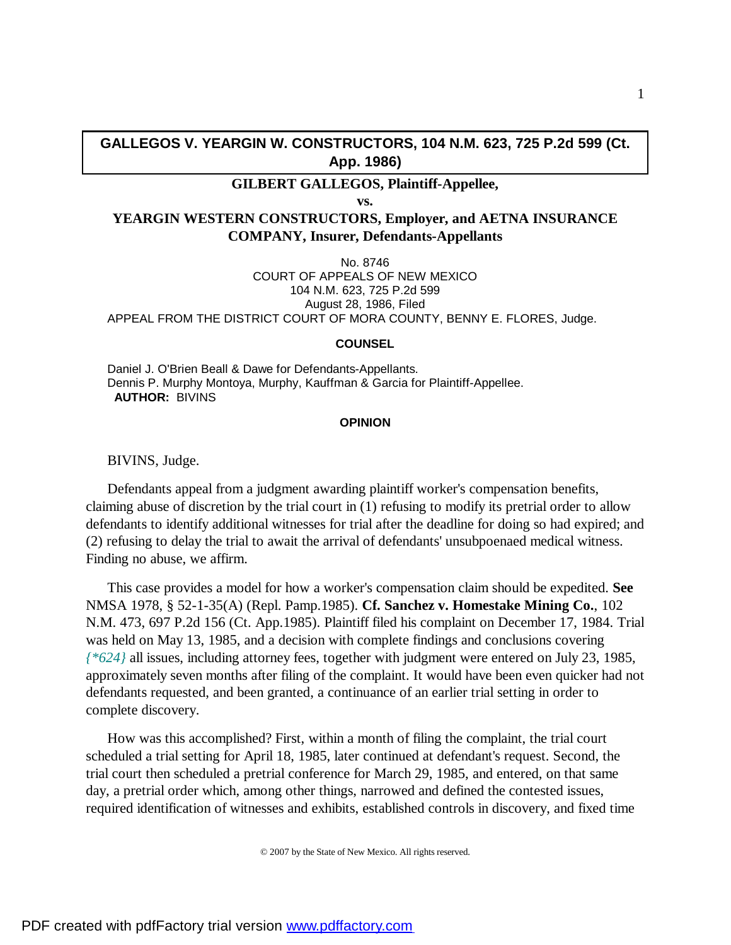### **GALLEGOS V. YEARGIN W. CONSTRUCTORS, 104 N.M. 623, 725 P.2d 599 (Ct. App. 1986)**

# **GILBERT GALLEGOS, Plaintiff-Appellee,**

**vs.**

## **YEARGIN WESTERN CONSTRUCTORS, Employer, and AETNA INSURANCE COMPANY, Insurer, Defendants-Appellants**

No. 8746 COURT OF APPEALS OF NEW MEXICO 104 N.M. 623, 725 P.2d 599 August 28, 1986, Filed APPEAL FROM THE DISTRICT COURT OF MORA COUNTY, BENNY E. FLORES, Judge.

#### **COUNSEL**

Daniel J. O'Brien Beall & Dawe for Defendants-Appellants. Dennis P. Murphy Montoya, Murphy, Kauffman & Garcia for Plaintiff-Appellee.  **AUTHOR:** BIVINS

#### **OPINION**

BIVINS, Judge.

Defendants appeal from a judgment awarding plaintiff worker's compensation benefits, claiming abuse of discretion by the trial court in (1) refusing to modify its pretrial order to allow defendants to identify additional witnesses for trial after the deadline for doing so had expired; and (2) refusing to delay the trial to await the arrival of defendants' unsubpoenaed medical witness. Finding no abuse, we affirm.

This case provides a model for how a worker's compensation claim should be expedited. **See** NMSA 1978, § 52-1-35(A) (Repl. Pamp.1985). **Cf. Sanchez v. Homestake Mining Co.**, 102 N.M. 473, 697 P.2d 156 (Ct. App.1985). Plaintiff filed his complaint on December 17, 1984. Trial was held on May 13, 1985, and a decision with complete findings and conclusions covering *{\*624}* all issues, including attorney fees, together with judgment were entered on July 23, 1985, approximately seven months after filing of the complaint. It would have been even quicker had not defendants requested, and been granted, a continuance of an earlier trial setting in order to complete discovery.

How was this accomplished? First, within a month of filing the complaint, the trial court scheduled a trial setting for April 18, 1985, later continued at defendant's request. Second, the trial court then scheduled a pretrial conference for March 29, 1985, and entered, on that same day, a pretrial order which, among other things, narrowed and defined the contested issues, required identification of witnesses and exhibits, established controls in discovery, and fixed time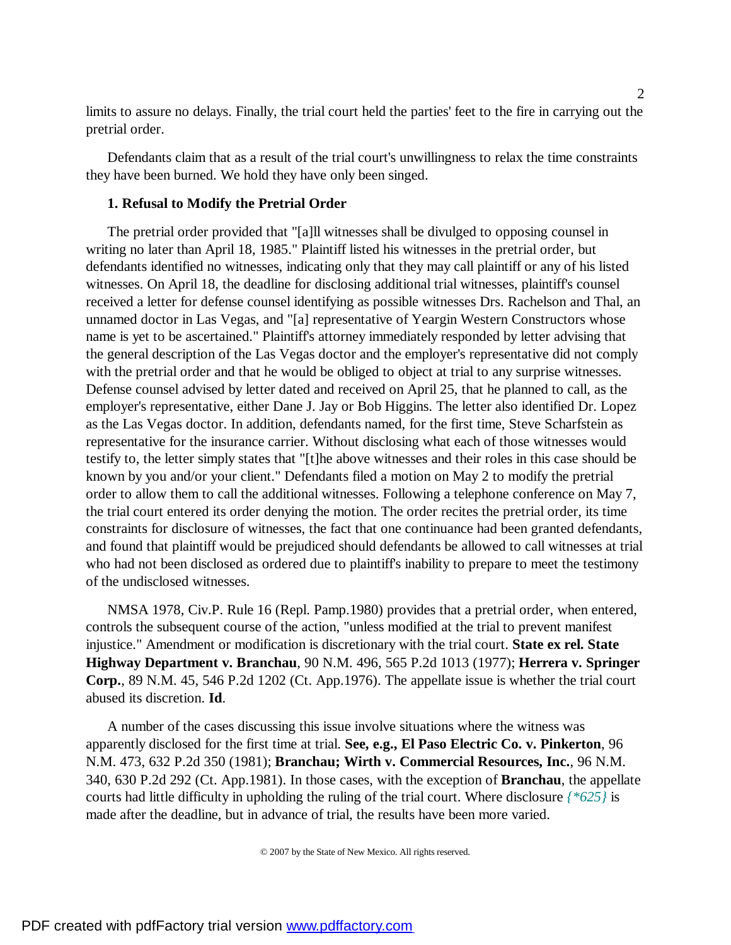limits to assure no delays. Finally, the trial court held the parties' feet to the fire in carrying out the pretrial order.

Defendants claim that as a result of the trial court's unwillingness to relax the time constraints they have been burned. We hold they have only been singed.

### **1. Refusal to Modify the Pretrial Order**

The pretrial order provided that "[a]ll witnesses shall be divulged to opposing counsel in writing no later than April 18, 1985." Plaintiff listed his witnesses in the pretrial order, but defendants identified no witnesses, indicating only that they may call plaintiff or any of his listed witnesses. On April 18, the deadline for disclosing additional trial witnesses, plaintiff's counsel received a letter for defense counsel identifying as possible witnesses Drs. Rachelson and Thal, an unnamed doctor in Las Vegas, and "[a] representative of Yeargin Western Constructors whose name is yet to be ascertained." Plaintiff's attorney immediately responded by letter advising that the general description of the Las Vegas doctor and the employer's representative did not comply with the pretrial order and that he would be obliged to object at trial to any surprise witnesses. Defense counsel advised by letter dated and received on April 25, that he planned to call, as the employer's representative, either Dane J. Jay or Bob Higgins. The letter also identified Dr. Lopez as the Las Vegas doctor. In addition, defendants named, for the first time, Steve Scharfstein as representative for the insurance carrier. Without disclosing what each of those witnesses would testify to, the letter simply states that "[t]he above witnesses and their roles in this case should be known by you and/or your client." Defendants filed a motion on May 2 to modify the pretrial order to allow them to call the additional witnesses. Following a telephone conference on May 7, the trial court entered its order denying the motion. The order recites the pretrial order, its time constraints for disclosure of witnesses, the fact that one continuance had been granted defendants, and found that plaintiff would be prejudiced should defendants be allowed to call witnesses at trial who had not been disclosed as ordered due to plaintiff's inability to prepare to meet the testimony of the undisclosed witnesses.

NMSA 1978, Civ.P. Rule 16 (Repl. Pamp.1980) provides that a pretrial order, when entered, controls the subsequent course of the action, "unless modified at the trial to prevent manifest injustice." Amendment or modification is discretionary with the trial court. **State ex rel. State Highway Department v. Branchau**, 90 N.M. 496, 565 P.2d 1013 (1977); **Herrera v. Springer Corp.**, 89 N.M. 45, 546 P.2d 1202 (Ct. App.1976). The appellate issue is whether the trial court abused its discretion. **Id**.

A number of the cases discussing this issue involve situations where the witness was apparently disclosed for the first time at trial. **See, e.g., El Paso Electric Co. v. Pinkerton**, 96 N.M. 473, 632 P.2d 350 (1981); **Branchau; Wirth v. Commercial Resources, Inc.**, 96 N.M. 340, 630 P.2d 292 (Ct. App.1981). In those cases, with the exception of **Branchau**, the appellate courts had little difficulty in upholding the ruling of the trial court. Where disclosure *{\*625}* is made after the deadline, but in advance of trial, the results have been more varied.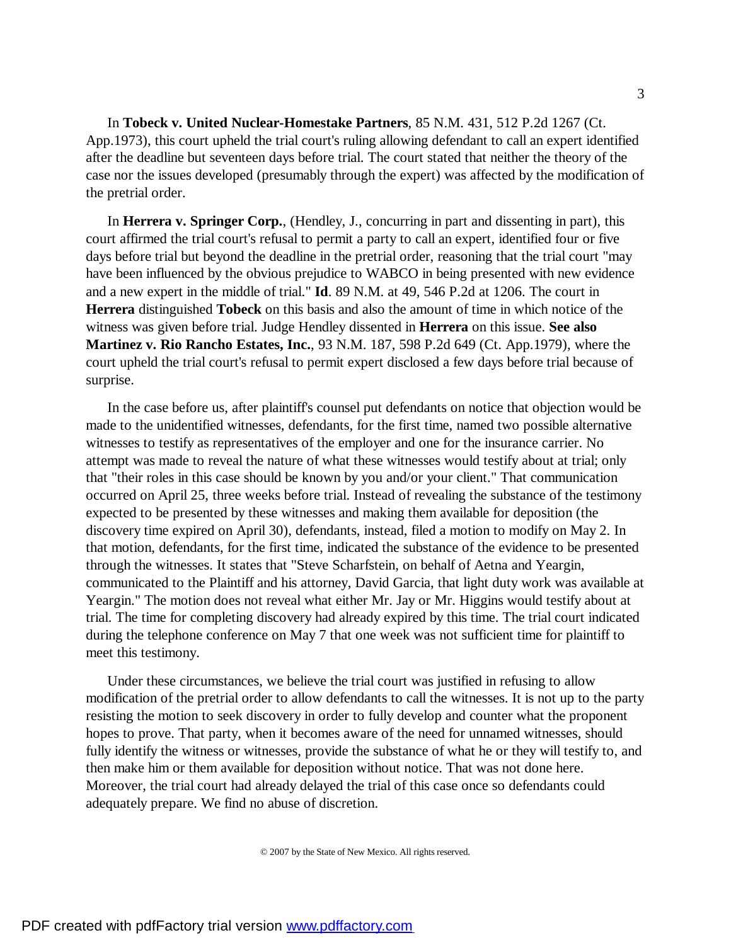In **Tobeck v. United Nuclear-Homestake Partners**, 85 N.M. 431, 512 P.2d 1267 (Ct. App.1973), this court upheld the trial court's ruling allowing defendant to call an expert identified after the deadline but seventeen days before trial. The court stated that neither the theory of the case nor the issues developed (presumably through the expert) was affected by the modification of the pretrial order.

In **Herrera v. Springer Corp.**, (Hendley, J., concurring in part and dissenting in part), this court affirmed the trial court's refusal to permit a party to call an expert, identified four or five days before trial but beyond the deadline in the pretrial order, reasoning that the trial court "may have been influenced by the obvious prejudice to WABCO in being presented with new evidence and a new expert in the middle of trial." **Id**. 89 N.M. at 49, 546 P.2d at 1206. The court in **Herrera** distinguished **Tobeck** on this basis and also the amount of time in which notice of the witness was given before trial. Judge Hendley dissented in **Herrera** on this issue. **See also Martinez v. Rio Rancho Estates, Inc.**, 93 N.M. 187, 598 P.2d 649 (Ct. App.1979), where the court upheld the trial court's refusal to permit expert disclosed a few days before trial because of surprise.

In the case before us, after plaintiff's counsel put defendants on notice that objection would be made to the unidentified witnesses, defendants, for the first time, named two possible alternative witnesses to testify as representatives of the employer and one for the insurance carrier. No attempt was made to reveal the nature of what these witnesses would testify about at trial; only that "their roles in this case should be known by you and/or your client." That communication occurred on April 25, three weeks before trial. Instead of revealing the substance of the testimony expected to be presented by these witnesses and making them available for deposition (the discovery time expired on April 30), defendants, instead, filed a motion to modify on May 2. In that motion, defendants, for the first time, indicated the substance of the evidence to be presented through the witnesses. It states that "Steve Scharfstein, on behalf of Aetna and Yeargin, communicated to the Plaintiff and his attorney, David Garcia, that light duty work was available at Yeargin." The motion does not reveal what either Mr. Jay or Mr. Higgins would testify about at trial. The time for completing discovery had already expired by this time. The trial court indicated during the telephone conference on May 7 that one week was not sufficient time for plaintiff to meet this testimony.

Under these circumstances, we believe the trial court was justified in refusing to allow modification of the pretrial order to allow defendants to call the witnesses. It is not up to the party resisting the motion to seek discovery in order to fully develop and counter what the proponent hopes to prove. That party, when it becomes aware of the need for unnamed witnesses, should fully identify the witness or witnesses, provide the substance of what he or they will testify to, and then make him or them available for deposition without notice. That was not done here. Moreover, the trial court had already delayed the trial of this case once so defendants could adequately prepare. We find no abuse of discretion.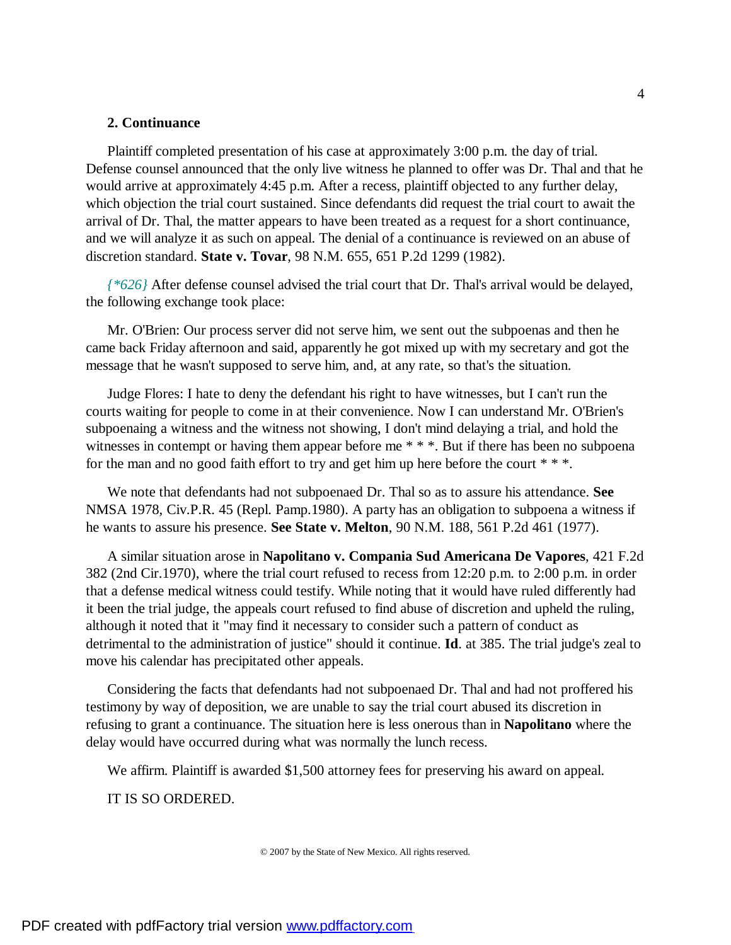#### **2. Continuance**

Plaintiff completed presentation of his case at approximately 3:00 p.m. the day of trial. Defense counsel announced that the only live witness he planned to offer was Dr. Thal and that he would arrive at approximately 4:45 p.m. After a recess, plaintiff objected to any further delay, which objection the trial court sustained. Since defendants did request the trial court to await the arrival of Dr. Thal, the matter appears to have been treated as a request for a short continuance, and we will analyze it as such on appeal. The denial of a continuance is reviewed on an abuse of discretion standard. **State v. Tovar**, 98 N.M. 655, 651 P.2d 1299 (1982).

*{\*626}* After defense counsel advised the trial court that Dr. Thal's arrival would be delayed, the following exchange took place:

Mr. O'Brien: Our process server did not serve him, we sent out the subpoenas and then he came back Friday afternoon and said, apparently he got mixed up with my secretary and got the message that he wasn't supposed to serve him, and, at any rate, so that's the situation.

Judge Flores: I hate to deny the defendant his right to have witnesses, but I can't run the courts waiting for people to come in at their convenience. Now I can understand Mr. O'Brien's subpoenaing a witness and the witness not showing, I don't mind delaying a trial, and hold the witnesses in contempt or having them appear before me \* \* \*. But if there has been no subpoena for the man and no good faith effort to try and get him up here before the court  $**$ .

We note that defendants had not subpoenaed Dr. Thal so as to assure his attendance. **See** NMSA 1978, Civ.P.R. 45 (Repl. Pamp.1980). A party has an obligation to subpoena a witness if he wants to assure his presence. **See State v. Melton**, 90 N.M. 188, 561 P.2d 461 (1977).

A similar situation arose in **Napolitano v. Compania Sud Americana De Vapores**, 421 F.2d 382 (2nd Cir.1970), where the trial court refused to recess from 12:20 p.m. to 2:00 p.m. in order that a defense medical witness could testify. While noting that it would have ruled differently had it been the trial judge, the appeals court refused to find abuse of discretion and upheld the ruling, although it noted that it "may find it necessary to consider such a pattern of conduct as detrimental to the administration of justice" should it continue. **Id**. at 385. The trial judge's zeal to move his calendar has precipitated other appeals.

Considering the facts that defendants had not subpoenaed Dr. Thal and had not proffered his testimony by way of deposition, we are unable to say the trial court abused its discretion in refusing to grant a continuance. The situation here is less onerous than in **Napolitano** where the delay would have occurred during what was normally the lunch recess.

We affirm. Plaintiff is awarded \$1,500 attorney fees for preserving his award on appeal.

IT IS SO ORDERED.